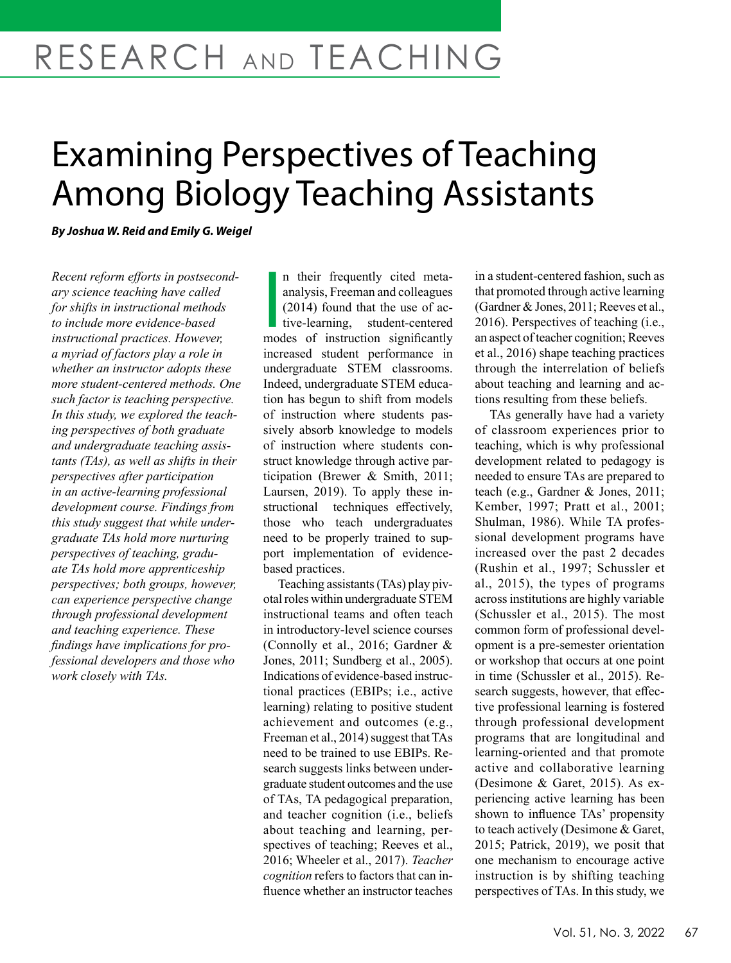# RESEARCH AND TEACHING

# Examining Perspectives of Teaching Among Biology Teaching Assistants

*By Joshua W. Reid and Emily G. Weigel* 

*Recent reform efforts in postsecondary science teaching have called for shifts in instructional methods to include more evidence-based instructional practices. However, a myriad of factors play a role in whether an instructor adopts these more student-centered methods. One such factor is teaching perspective. In this study, we explored the teaching perspectives of both graduate and undergraduate teaching assistants (TAs), as well as shifts in their perspectives after participation in an active-learning professional development course. Findings from this study suggest that while undergraduate TAs hold more nurturing perspectives of teaching, graduate TAs hold more apprenticeship perspectives; both groups, however, can experience perspective change through professional development and teaching experience. These findings have implications for professional developers and those who work closely with TAs.*

n their frequently cited meta-<br>analysis, Freeman and colleagues<br>(2014) found that the use of ac-<br>tive-learning, student-centered<br>modes of instruction significantly n their frequently cited metaanalysis, Freeman and colleagues (2014) found that the use of active-learning, student-centered increased student performance in undergraduate STEM classrooms. Indeed, undergraduate STEM education has begun to shift from models of instruction where students passively absorb knowledge to models of instruction where students construct knowledge through active participation (Brewer & Smith, 2011; Laursen, 2019). To apply these instructional techniques effectively, those who teach undergraduates need to be properly trained to support implementation of evidencebased practices.

Teaching assistants (TAs) play pivotal roles within undergraduate STEM instructional teams and often teach in introductory-level science courses (Connolly et al., 2016; Gardner & Jones, 2011; Sundberg et al., 2005). Indications of evidence-based instructional practices (EBIPs; i.e., active learning) relating to positive student achievement and outcomes (e.g., Freeman et al., 2014) suggest that TAs need to be trained to use EBIPs. Research suggests links between undergraduate student outcomes and the use of TAs, TA pedagogical preparation, and teacher cognition (i.e., beliefs about teaching and learning, perspectives of teaching; Reeves et al., 2016; Wheeler et al., 2017). *Teacher cognition* refers to factors that can influence whether an instructor teaches in a student-centered fashion, such as that promoted through active learning (Gardner & Jones, 2011; Reeves et al., 2016). Perspectives of teaching (i.e., an aspect of teacher cognition; Reeves et al., 2016) shape teaching practices through the interrelation of beliefs about teaching and learning and actions resulting from these beliefs.

TAs generally have had a variety of classroom experiences prior to teaching, which is why professional development related to pedagogy is needed to ensure TAs are prepared to teach (e.g., Gardner & Jones, 2011; Kember, 1997; Pratt et al., 2001; Shulman, 1986). While TA professional development programs have increased over the past 2 decades (Rushin et al., 1997; Schussler et al., 2015), the types of programs across institutions are highly variable (Schussler et al., 2015). The most common form of professional development is a pre-semester orientation or workshop that occurs at one point in time (Schussler et al., 2015). Research suggests, however, that effective professional learning is fostered through professional development programs that are longitudinal and learning-oriented and that promote active and collaborative learning (Desimone & Garet, 2015). As experiencing active learning has been shown to influence TAs' propensity to teach actively (Desimone & Garet, 2015; Patrick, 2019), we posit that one mechanism to encourage active instruction is by shifting teaching perspectives of TAs. In this study, we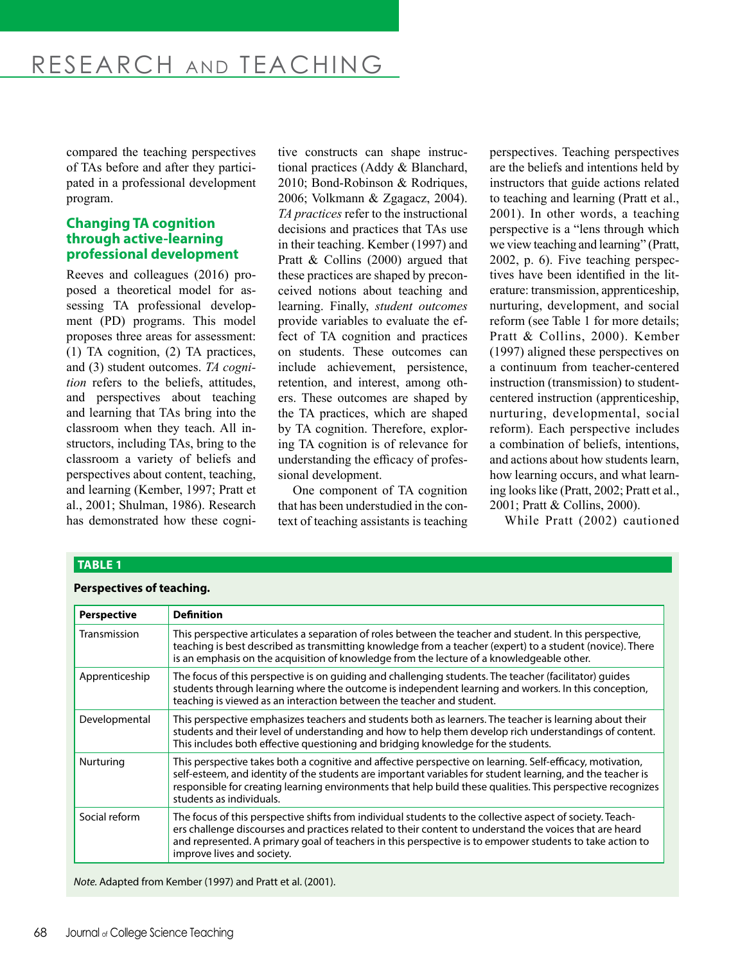compared the teaching perspectives of TAs before and after they participated in a professional development program.

# **Changing TA cognition through active-learning professional development**

Reeves and colleagues (2016) proposed a theoretical model for assessing TA professional development (PD) programs. This model proposes three areas for assessment: (1) TA cognition, (2) TA practices, and (3) student outcomes. *TA cognition* refers to the beliefs, attitudes, and perspectives about teaching and learning that TAs bring into the classroom when they teach. All instructors, including TAs, bring to the classroom a variety of beliefs and perspectives about content, teaching, and learning (Kember, 1997; Pratt et al., 2001; Shulman, 1986). Research has demonstrated how these cogni-

**TABLE 1**

tive constructs can shape instructional practices (Addy & Blanchard, 2010; Bond-Robinson & Rodriques, 2006; Volkmann & Zgagacz, 2004). *TA practices* refer to the instructional decisions and practices that TAs use in their teaching. Kember (1997) and Pratt & Collins (2000) argued that these practices are shaped by preconceived notions about teaching and learning. Finally, *student outcomes* provide variables to evaluate the effect of TA cognition and practices on students. These outcomes can include achievement, persistence, retention, and interest, among others. These outcomes are shaped by the TA practices, which are shaped by TA cognition. Therefore, exploring TA cognition is of relevance for understanding the efficacy of professional development.

One component of TA cognition that has been understudied in the context of teaching assistants is teaching perspectives. Teaching perspectives are the beliefs and intentions held by instructors that guide actions related to teaching and learning (Pratt et al., 2001). In other words, a teaching perspective is a "lens through which we view teaching and learning" (Pratt, 2002, p. 6). Five teaching perspectives have been identified in the literature: transmission, apprenticeship, nurturing, development, and social reform (see Table 1 for more details; Pratt & Collins, 2000). Kember (1997) aligned these perspectives on a continuum from teacher-centered instruction (transmission) to studentcentered instruction (apprenticeship, nurturing, developmental, social reform). Each perspective includes a combination of beliefs, intentions, and actions about how students learn, how learning occurs, and what learning looks like (Pratt, 2002; Pratt et al., 2001; Pratt & Collins, 2000).

While Pratt (2002) cautioned

| <b>Perspective</b> | <b>Definition</b>                                                                                                                                                                                                                                                                                                                                                  |  |
|--------------------|--------------------------------------------------------------------------------------------------------------------------------------------------------------------------------------------------------------------------------------------------------------------------------------------------------------------------------------------------------------------|--|
| Transmission       | This perspective articulates a separation of roles between the teacher and student. In this perspective,<br>teaching is best described as transmitting knowledge from a teacher (expert) to a student (novice). There<br>is an emphasis on the acquisition of knowledge from the lecture of a knowledgeable other.                                                 |  |
| Apprenticeship     | The focus of this perspective is on quiding and challenging students. The teacher (facilitator) quides<br>students through learning where the outcome is independent learning and workers. In this conception,<br>teaching is viewed as an interaction between the teacher and student.                                                                            |  |
| Developmental      | This perspective emphasizes teachers and students both as learners. The teacher is learning about their<br>students and their level of understanding and how to help them develop rich understandings of content.<br>This includes both effective questioning and bridging knowledge for the students.                                                             |  |
| Nurturing          | This perspective takes both a cognitive and affective perspective on learning. Self-efficacy, motivation,<br>self-esteem, and identity of the students are important variables for student learning, and the teacher is<br>responsible for creating learning environments that help build these qualities. This perspective recognizes<br>students as individuals. |  |
| Social reform      | The focus of this perspective shifts from individual students to the collective aspect of society. Teach-<br>ers challenge discourses and practices related to their content to understand the voices that are heard<br>and represented. A primary goal of teachers in this perspective is to empower students to take action to<br>improve lives and society.     |  |

*Note.* Adapted from Kember (1997) and Pratt et al. (2001).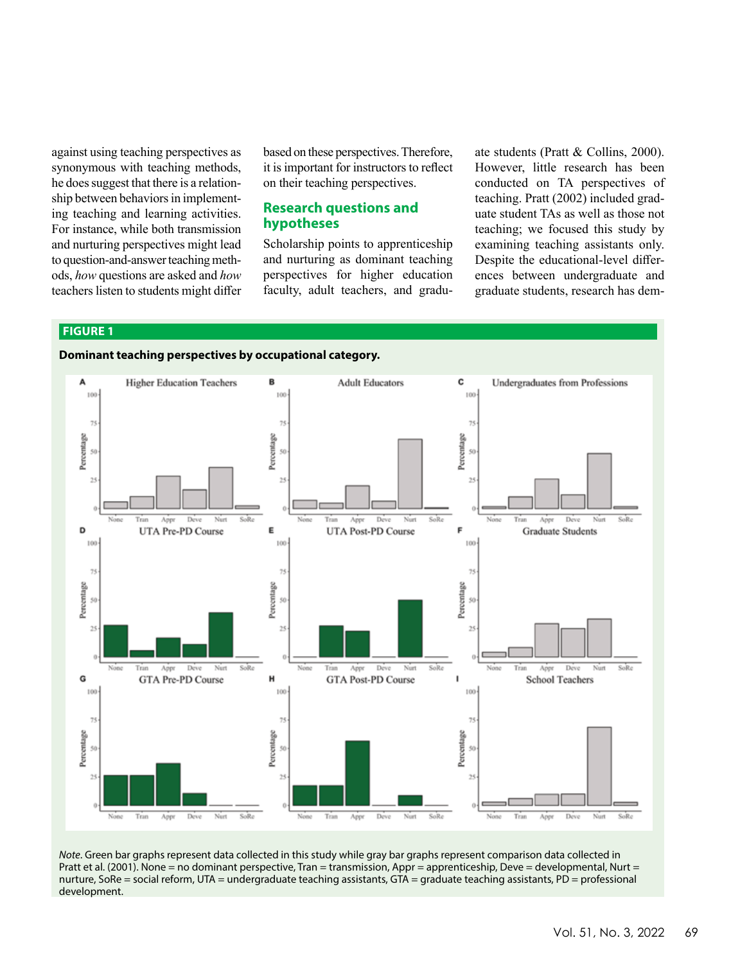against using teaching perspectives as synonymous with teaching methods, he does suggest that there is a relationship between behaviors in implementing teaching and learning activities. For instance, while both transmission and nurturing perspectives might lead to question-and-answer teaching methods, *how* questions are asked and *how* teachers listen to students might differ

based on these perspectives. Therefore, it is important for instructors to reflect on their teaching perspectives.

### **Research questions and hypotheses**

Scholarship points to apprenticeship and nurturing as dominant teaching perspectives for higher education faculty, adult teachers, and graduate students (Pratt & Collins, 2000). However, little research has been conducted on TA perspectives of teaching. Pratt (2002) included graduate student TAs as well as those not teaching; we focused this study by examining teaching assistants only. Despite the educational-level differences between undergraduate and graduate students, research has dem-

#### **FIGURE 1**





*Note*. Green bar graphs represent data collected in this study while gray bar graphs represent comparison data collected in Pratt et al. (2001). None = no dominant perspective, Tran = transmission, Appr = apprenticeship, Deve = developmental, Nurt = nurture, SoRe = social reform, UTA = undergraduate teaching assistants, GTA = graduate teaching assistants, PD = professional development.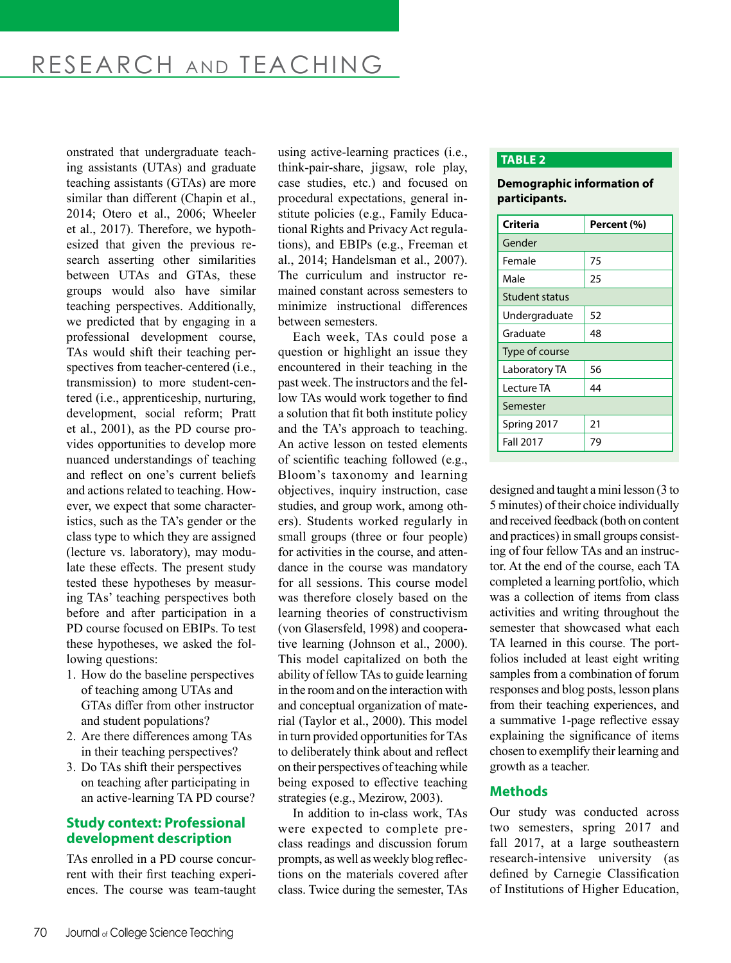onstrated that undergraduate teaching assistants (UTAs) and graduate teaching assistants (GTAs) are more similar than different (Chapin et al., 2014; Otero et al., 2006; Wheeler et al., 2017). Therefore, we hypothesized that given the previous research asserting other similarities between UTAs and GTAs, these groups would also have similar teaching perspectives. Additionally, we predicted that by engaging in a professional development course, TAs would shift their teaching perspectives from teacher-centered (i.e., transmission) to more student-centered (i.e., apprenticeship, nurturing, development, social reform; Pratt et al., 2001), as the PD course provides opportunities to develop more nuanced understandings of teaching and reflect on one's current beliefs and actions related to teaching. However, we expect that some characteristics, such as the TA's gender or the class type to which they are assigned (lecture vs. laboratory), may modulate these effects. The present study tested these hypotheses by measuring TAs' teaching perspectives both before and after participation in a PD course focused on EBIPs. To test these hypotheses, we asked the following questions:

- 1. How do the baseline perspectives of teaching among UTAs and GTAs differ from other instructor and student populations?
- 2. Are there differences among TAs in their teaching perspectives?
- 3. Do TAs shift their perspectives on teaching after participating in an active-learning TA PD course?

# **Study context: Professional development description**

TAs enrolled in a PD course concurrent with their first teaching experiences. The course was team-taught using active-learning practices (i.e., think-pair-share, jigsaw, role play, case studies, etc.) and focused on procedural expectations, general institute policies (e.g., Family Educational Rights and Privacy Act regulations), and EBIPs (e.g., Freeman et al., 2014; Handelsman et al., 2007). The curriculum and instructor remained constant across semesters to minimize instructional differences between semesters.

Each week, TAs could pose a question or highlight an issue they encountered in their teaching in the past week. The instructors and the fellow TAs would work together to find a solution that fit both institute policy and the TA's approach to teaching. An active lesson on tested elements of scientific teaching followed (e.g., Bloom's taxonomy and learning objectives, inquiry instruction, case studies, and group work, among others). Students worked regularly in small groups (three or four people) for activities in the course, and attendance in the course was mandatory for all sessions. This course model was therefore closely based on the learning theories of constructivism (von Glasersfeld, 1998) and cooperative learning (Johnson et al., 2000). This model capitalized on both the ability of fellow TAs to guide learning in the room and on the interaction with and conceptual organization of material (Taylor et al., 2000). This model in turn provided opportunities for TAs to deliberately think about and reflect on their perspectives of teaching while being exposed to effective teaching strategies (e.g., Mezirow, 2003).

In addition to in-class work, TAs were expected to complete preclass readings and discussion forum prompts, as well as weekly blog reflections on the materials covered after class. Twice during the semester, TAs

#### **TABLE 2**

#### **Demographic information of participants.**

| Criteria              | Percent (%) |  |  |
|-----------------------|-------------|--|--|
| Gender                |             |  |  |
| Female                | 75          |  |  |
| Male                  | 25          |  |  |
| <b>Student status</b> |             |  |  |
| Undergraduate         | 52          |  |  |
| Graduate              | 48          |  |  |
| Type of course        |             |  |  |
| Laboratory TA         | 56          |  |  |
| Lecture TA            | 44          |  |  |
| Semester              |             |  |  |
| Spring 2017           | 21          |  |  |
| <b>Fall 2017</b>      | 79          |  |  |

designed and taught a mini lesson (3 to 5 minutes) of their choice individually and received feedback (both on content and practices) in small groups consisting of four fellow TAs and an instructor. At the end of the course, each TA completed a learning portfolio, which was a collection of items from class activities and writing throughout the semester that showcased what each TA learned in this course. The portfolios included at least eight writing samples from a combination of forum responses and blog posts, lesson plans from their teaching experiences, and a summative 1‐page reflective essay explaining the significance of items chosen to exemplify their learning and growth as a teacher.

# **Methods**

Our study was conducted across two semesters, spring 2017 and fall 2017, at a large southeastern research-intensive university (as defined by Carnegie Classification of Institutions of Higher Education,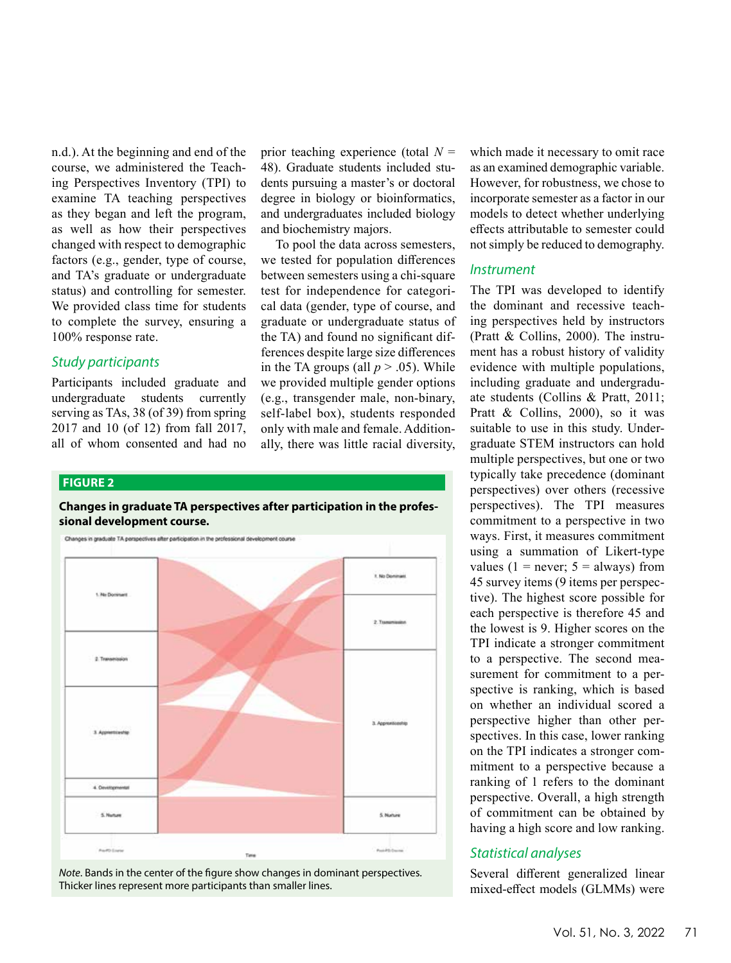n.d.). At the beginning and end of the course, we administered the Teaching Perspectives Inventory (TPI) to examine TA teaching perspectives as they began and left the program, as well as how their perspectives changed with respect to demographic factors (e.g., gender, type of course, and TA's graduate or undergraduate status) and controlling for semester. We provided class time for students to complete the survey, ensuring a 100% response rate.

### *Study participants*

Participants included graduate and undergraduate students currently serving as TAs, 38 (of 39) from spring 2017 and 10 (of 12) from fall 2017, all of whom consented and had no

prior teaching experience (total *N* = 48). Graduate students included students pursuing a master's or doctoral degree in biology or bioinformatics, and undergraduates included biology and biochemistry majors.

To pool the data across semesters, we tested for population differences between semesters using a chi-square test for independence for categorical data (gender, type of course, and graduate or undergraduate status of the TA) and found no significant differences despite large size differences in the TA groups (all  $p > .05$ ). While we provided multiple gender options (e.g., transgender male, non-binary, self-label box), students responded only with male and female. Additionally, there was little racial diversity,

#### **FIGURE 2**

#### **Changes in graduate TA perspectives after participation in the professional development course.**



*Note*. Bands in the center of the figure show changes in dominant perspectives. Thicker lines represent more participants than smaller lines.

which made it necessary to omit race as an examined demographic variable. However, for robustness, we chose to incorporate semester as a factor in our models to detect whether underlying effects attributable to semester could not simply be reduced to demography.

#### *Instrument*

The TPI was developed to identify the dominant and recessive teaching perspectives held by instructors (Pratt & Collins, 2000). The instrument has a robust history of validity evidence with multiple populations, including graduate and undergraduate students (Collins & Pratt, 2011; Pratt & Collins, 2000), so it was suitable to use in this study. Undergraduate STEM instructors can hold multiple perspectives, but one or two typically take precedence (dominant perspectives) over others (recessive perspectives). The TPI measures commitment to a perspective in two ways. First, it measures commitment using a summation of Likert-type values (1 = never;  $5 =$  always) from 45 survey items (9 items per perspective). The highest score possible for each perspective is therefore 45 and the lowest is 9. Higher scores on the TPI indicate a stronger commitment to a perspective. The second measurement for commitment to a perspective is ranking, which is based on whether an individual scored a perspective higher than other perspectives. In this case, lower ranking on the TPI indicates a stronger commitment to a perspective because a ranking of 1 refers to the dominant perspective. Overall, a high strength of commitment can be obtained by having a high score and low ranking.

#### *Statistical analyses*

Several different generalized linear mixed-effect models (GLMMs) were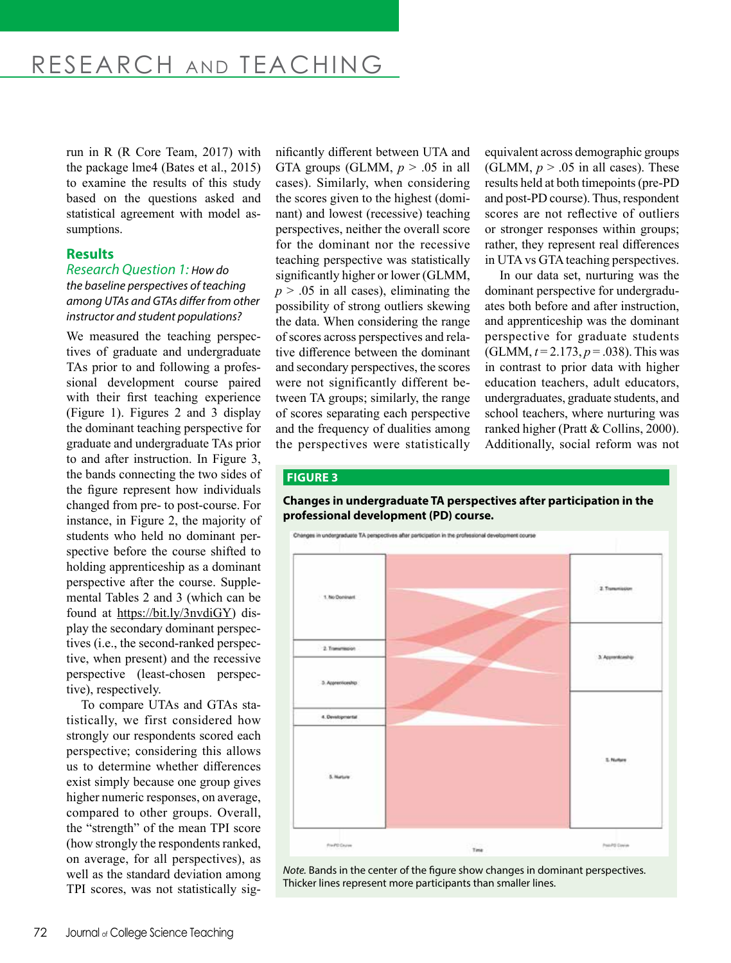# RESEARCH AND TEACHING

run in R (R Core Team, 2017) with the package lme4 (Bates et al., 2015) to examine the results of this study based on the questions asked and statistical agreement with model assumptions.

#### **Results**

#### *Research Question 1: How do the baseline perspectives of teaching among UTAs and GTAs differ from other instructor and student populations?*

We measured the teaching perspectives of graduate and undergraduate TAs prior to and following a professional development course paired with their first teaching experience (Figure 1). Figures 2 and 3 display the dominant teaching perspective for graduate and undergraduate TAs prior to and after instruction. In Figure 3, the bands connecting the two sides of the figure represent how individuals changed from pre- to post-course. For instance, in Figure 2, the majority of students who held no dominant perspective before the course shifted to holding apprenticeship as a dominant perspective after the course. Supplemental Tables 2 and 3 (which can be found at https://bit.ly/3nvdiGY) display the secondary dominant perspectives (i.e., the second-ranked perspective, when present) and the recessive perspective (least-chosen perspective), respectively.

To compare UTAs and GTAs statistically, we first considered how strongly our respondents scored each perspective; considering this allows us to determine whether differences exist simply because one group gives higher numeric responses, on average, compared to other groups. Overall, the "strength" of the mean TPI score (how strongly the respondents ranked, on average, for all perspectives), as well as the standard deviation among TPI scores, was not statistically significantly different between UTA and GTA groups (GLMM,  $p > .05$  in all cases). Similarly, when considering the scores given to the highest (dominant) and lowest (recessive) teaching perspectives, neither the overall score for the dominant nor the recessive teaching perspective was statistically significantly higher or lower (GLMM,  $p > .05$  in all cases), eliminating the possibility of strong outliers skewing the data. When considering the range of scores across perspectives and relative difference between the dominant and secondary perspectives, the scores were not significantly different between TA groups; similarly, the range of scores separating each perspective and the frequency of dualities among the perspectives were statistically

equivalent across demographic groups (GLMM,  $p > .05$  in all cases). These results held at both timepoints (pre-PD and post-PD course). Thus, respondent scores are not reflective of outliers or stronger responses within groups; rather, they represent real differences in UTA vs GTA teaching perspectives.

In our data set, nurturing was the dominant perspective for undergraduates both before and after instruction, and apprenticeship was the dominant perspective for graduate students (GLMM, *t* = 2.173, *p* = .038). This was in contrast to prior data with higher education teachers, adult educators, undergraduates, graduate students, and school teachers, where nurturing was ranked higher (Pratt & Collins, 2000). Additionally, social reform was not

#### **FIGURE 3**

#### **Changes in undergraduate TA perspectives after participation in the professional development (PD) course.**



*Note.* Bands in the center of the figure show changes in dominant perspectives. Thicker lines represent more participants than smaller lines.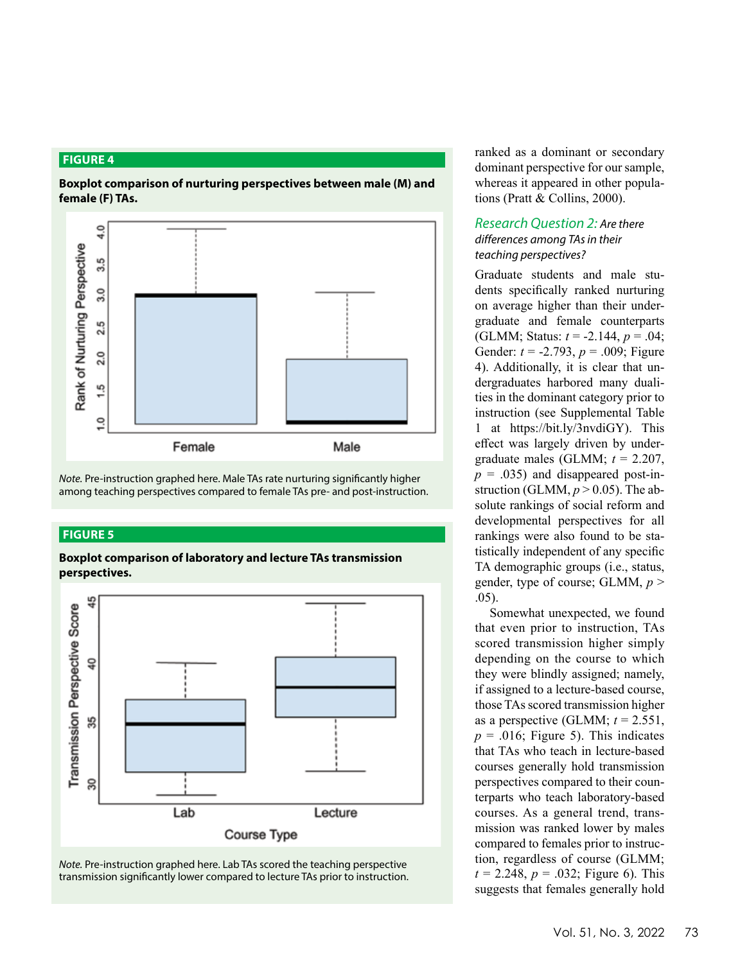#### **FIGURE 4**

**Boxplot comparison of nurturing perspectives between male (M) and female (F) TAs.**



*Note.* Pre-instruction graphed here. Male TAs rate nurturing significantly higher among teaching perspectives compared to female TAs pre- and post-instruction.

#### **FIGURE 5**

**Boxplot comparison of laboratory and lecture TAs transmission perspectives.**



*Note.* Pre-instruction graphed here. Lab TAs scored the teaching perspective transmission significantly lower compared to lecture TAs prior to instruction. ranked as a dominant or secondary dominant perspective for our sample, whereas it appeared in other populations (Pratt & Collins, 2000).

### *Research Question 2: Are there differences among TAs in their teaching perspectives?*

Graduate students and male students specifically ranked nurturing on average higher than their undergraduate and female counterparts (GLMM; Status: *t* = -2.144, *p* = .04; Gender: *t* = -2.793, *p* = .009; Figure 4). Additionally, it is clear that undergraduates harbored many dualities in the dominant category prior to instruction (see Supplemental Table 1 at https://bit.ly/3nvdiGY). This effect was largely driven by undergraduate males (GLMM; *t* = 2.207,  $p = .035$ ) and disappeared post-instruction (GLMM,  $p > 0.05$ ). The absolute rankings of social reform and developmental perspectives for all rankings were also found to be statistically independent of any specific TA demographic groups (i.e., status, gender, type of course; GLMM, *p* > .05).

Somewhat unexpected, we found that even prior to instruction, TAs scored transmission higher simply depending on the course to which they were blindly assigned; namely, if assigned to a lecture-based course, those TAs scored transmission higher as a perspective (GLMM;  $t = 2.551$ ,  $p = .016$ ; Figure 5). This indicates that TAs who teach in lecture-based courses generally hold transmission perspectives compared to their counterparts who teach laboratory-based courses. As a general trend, transmission was ranked lower by males compared to females prior to instruction, regardless of course (GLMM;  $t = 2.248$ ,  $p = .032$ ; Figure 6). This suggests that females generally hold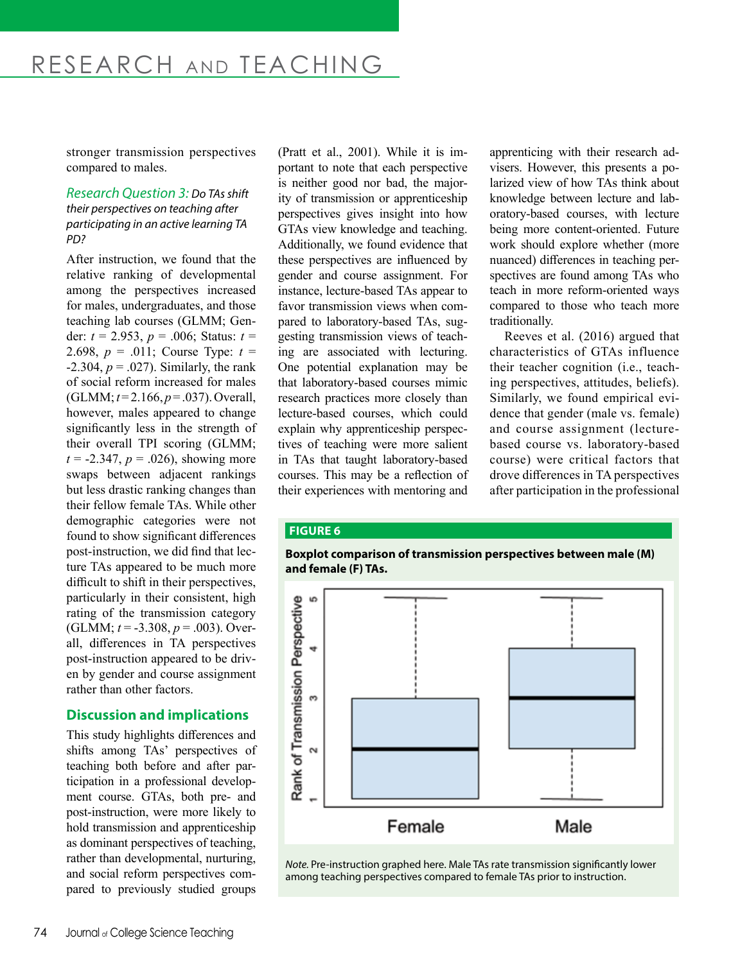stronger transmission perspectives compared to males.

#### *Research Question 3: Do TAs shift their perspectives on teaching after participating in an active learning TA PD?*

After instruction, we found that the relative ranking of developmental among the perspectives increased for males, undergraduates, and those teaching lab courses (GLMM; Gender: *t* = 2.953, *p* = .006; Status: *t* = 2.698, *p* = .011; Course Type: *t* =  $-2.304, p = .027$ ). Similarly, the rank of social reform increased for males (GLMM; *t* = 2.166, *p* = .037). Overall, however, males appeared to change significantly less in the strength of their overall TPI scoring (GLMM;  $t = -2.347$ ,  $p = .026$ ), showing more swaps between adjacent rankings but less drastic ranking changes than their fellow female TAs. While other demographic categories were not found to show significant differences post-instruction, we did find that lecture TAs appeared to be much more difficult to shift in their perspectives, particularly in their consistent, high rating of the transmission category (GLMM; *t* = -3.308, *p* = .003). Overall, differences in TA perspectives post-instruction appeared to be driven by gender and course assignment rather than other factors.

## **Discussion and implications**

This study highlights differences and shifts among TAs' perspectives of teaching both before and after participation in a professional development course. GTAs, both pre- and post-instruction, were more likely to hold transmission and apprenticeship as dominant perspectives of teaching, rather than developmental, nurturing, and social reform perspectives compared to previously studied groups

(Pratt et al., 2001). While it is important to note that each perspective is neither good nor bad, the majority of transmission or apprenticeship perspectives gives insight into how GTAs view knowledge and teaching. Additionally, we found evidence that these perspectives are influenced by gender and course assignment. For instance, lecture-based TAs appear to favor transmission views when compared to laboratory-based TAs, suggesting transmission views of teaching are associated with lecturing. One potential explanation may be that laboratory-based courses mimic research practices more closely than lecture-based courses, which could explain why apprenticeship perspectives of teaching were more salient in TAs that taught laboratory-based courses. This may be a reflection of their experiences with mentoring and

apprenticing with their research advisers. However, this presents a polarized view of how TAs think about knowledge between lecture and laboratory-based courses, with lecture being more content-oriented. Future work should explore whether (more nuanced) differences in teaching perspectives are found among TAs who teach in more reform-oriented ways compared to those who teach more traditionally.

Reeves et al. (2016) argued that characteristics of GTAs influence their teacher cognition (i.e., teaching perspectives, attitudes, beliefs). Similarly, we found empirical evidence that gender (male vs. female) and course assignment (lecturebased course vs. laboratory-based course) were critical factors that drove differences in TA perspectives after participation in the professional

#### **FIGURE 6**





*Note.* Pre-instruction graphed here. Male TAs rate transmission significantly lower among teaching perspectives compared to female TAs prior to instruction.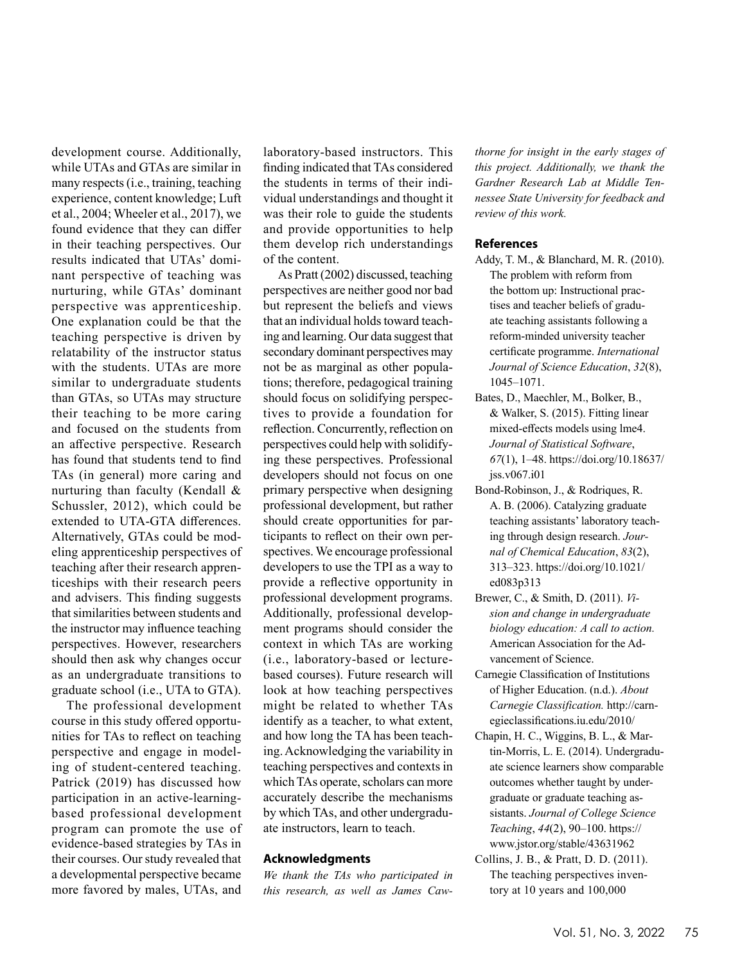development course. Additionally, while UTAs and GTAs are similar in many respects (i.e., training, teaching experience, content knowledge; Luft et al., 2004; Wheeler et al., 2017), we found evidence that they can differ in their teaching perspectives. Our results indicated that UTAs' dominant perspective of teaching was nurturing, while GTAs' dominant perspective was apprenticeship. One explanation could be that the teaching perspective is driven by relatability of the instructor status with the students. UTAs are more similar to undergraduate students than GTAs, so UTAs may structure their teaching to be more caring and focused on the students from an affective perspective. Research has found that students tend to find TAs (in general) more caring and nurturing than faculty (Kendall & Schussler, 2012), which could be extended to UTA-GTA differences. Alternatively, GTAs could be modeling apprenticeship perspectives of teaching after their research apprenticeships with their research peers and advisers. This finding suggests that similarities between students and the instructor may influence teaching perspectives. However, researchers should then ask why changes occur as an undergraduate transitions to graduate school (i.e., UTA to GTA).

The professional development course in this study offered opportunities for TAs to reflect on teaching perspective and engage in modeling of student-centered teaching. Patrick (2019) has discussed how participation in an active-learningbased professional development program can promote the use of evidence-based strategies by TAs in their courses. Our study revealed that a developmental perspective became more favored by males, UTAs, and laboratory-based instructors. This finding indicated that TAs considered the students in terms of their individual understandings and thought it was their role to guide the students and provide opportunities to help them develop rich understandings of the content.

As Pratt (2002) discussed, teaching perspectives are neither good nor bad but represent the beliefs and views that an individual holds toward teaching and learning. Our data suggest that secondary dominant perspectives may not be as marginal as other populations; therefore, pedagogical training should focus on solidifying perspectives to provide a foundation for reflection. Concurrently, reflection on perspectives could help with solidifying these perspectives. Professional developers should not focus on one primary perspective when designing professional development, but rather should create opportunities for participants to reflect on their own perspectives. We encourage professional developers to use the TPI as a way to provide a reflective opportunity in professional development programs. Additionally, professional development programs should consider the context in which TAs are working (i.e., laboratory-based or lecturebased courses). Future research will look at how teaching perspectives might be related to whether TAs identify as a teacher, to what extent, and how long the TA has been teaching. Acknowledging the variability in teaching perspectives and contexts in which TAs operate, scholars can more accurately describe the mechanisms by which TAs, and other undergraduate instructors, learn to teach.

#### **Acknowledgments**

*We thank the TAs who participated in this research, as well as James Caw-*

*thorne for insight in the early stages of this project. Additionally, we thank the Gardner Research Lab at Middle Tennessee State University for feedback and review of this work.* 

#### **References**

- Addy, T. M., & Blanchard, M. R. (2010). The problem with reform from the bottom up: Instructional practises and teacher beliefs of graduate teaching assistants following a reform‐minded university teacher certificate programme. *International Journal of Science Education*, *32*(8), 1045–1071.
- Bates, D., Maechler, M., Bolker, B., & Walker, S. (2015). Fitting linear mixed-effects models using lme4. *Journal of Statistical Software*, *67*(1), 1–48. https://doi.org/10.18637/ jss.v067.i01
- Bond-Robinson, J., & Rodriques, R. A. B. (2006). Catalyzing graduate teaching assistants' laboratory teaching through design research. *Journal of Chemical Education*, *83*(2), 313–323. https://doi.org/10.1021/ ed083p313
- Brewer, C., & Smith, D. (2011). *Vision and change in undergraduate biology education: A call to action.* American Association for the Advancement of Science.
- Carnegie Classification of Institutions of Higher Education. (n.d.). *About Carnegie Classification.* http://carnegieclassifications.iu.edu/2010/
- Chapin, H. C., Wiggins, B. L., & Martin-Morris, L. E. (2014). Undergraduate science learners show comparable outcomes whether taught by undergraduate or graduate teaching assistants. *Journal of College Science Teaching*, *44*(2), 90–100. https:// www.jstor.org/stable/43631962
- Collins, J. B., & Pratt, D. D. (2011). The teaching perspectives inventory at 10 years and 100,000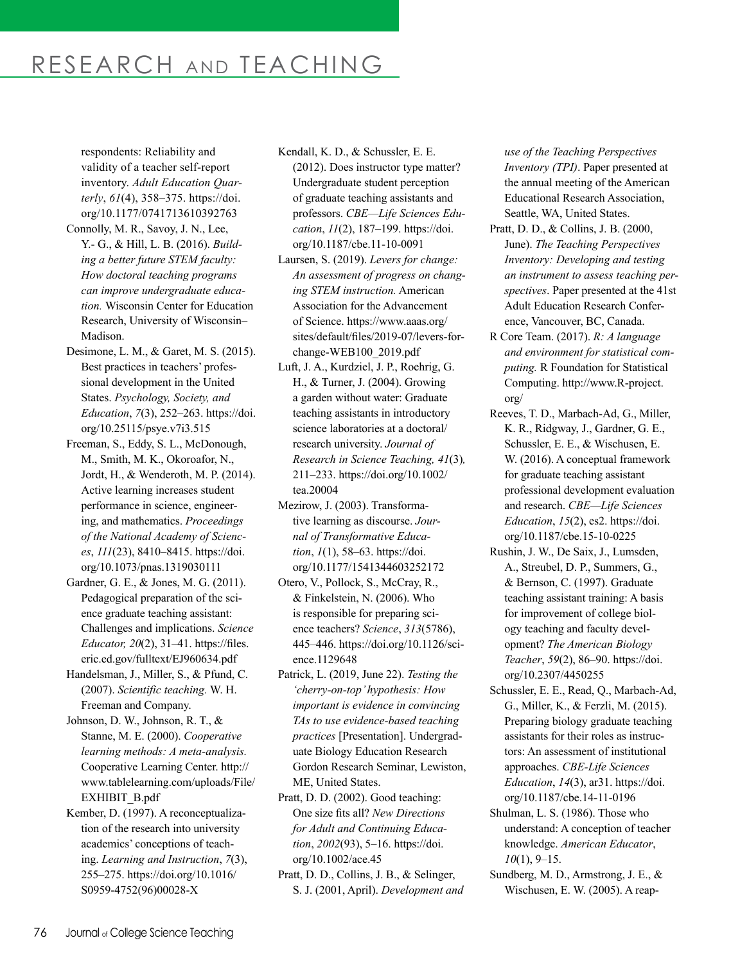# RESEARCH AND TEACHING

respondents: Reliability and validity of a teacher self-report inventory. *Adult Education Quarterly*, *61*(4), 358–375. https://doi. org/10.1177/0741713610392763

- Connolly, M. R., Savoy, J. N., Lee, Y.- G., & Hill, L. B. (2016). *Building a better future STEM faculty: How doctoral teaching programs can improve undergraduate education.* Wisconsin Center for Education Research, University of Wisconsin– Madison.
- Desimone, L. M., & Garet, M. S. (2015). Best practices in teachers' professional development in the United States. *Psychology, Society, and Education*, *7*(3), 252–263. https://doi. org/10.25115/psye.v7i3.515
- Freeman, S., Eddy, S. L., McDonough, M., Smith, M. K., Okoroafor, N., Jordt, H., & Wenderoth, M. P. (2014). Active learning increases student performance in science, engineering, and mathematics. *Proceedings of the National Academy of Sciences*, *111*(23), 8410–8415. https://doi. org/10.1073/pnas.1319030111
- Gardner, G. E., & Jones, M. G. (2011). Pedagogical preparation of the science graduate teaching assistant: Challenges and implications. *Science Educator, 20*(2), 31–41. https://files. eric.ed.gov/fulltext/EJ960634.pdf
- Handelsman, J., Miller, S., & Pfund, C. (2007). *Scientific teaching.* W. H. Freeman and Company.
- Johnson, D. W., Johnson, R. T., & Stanne, M. E. (2000). *Cooperative learning methods: A meta-analysis.* Cooperative Learning Center. http:// www.tablelearning.com/uploads/File/ EXHIBIT\_B.pdf
- Kember, D. (1997). A reconceptualization of the research into university academics' conceptions of teaching. *Learning and Instruction*, *7*(3), 255–275. https://doi.org/10.1016/ S0959-4752(96)00028-X

Kendall, K. D., & Schussler, E. E. (2012). Does instructor type matter? Undergraduate student perception of graduate teaching assistants and professors. *CBE—Life Sciences Education*, *11*(2), 187–199. https://doi. org/10.1187/cbe.11-10-0091

- Laursen, S. (2019). *Levers for change: An assessment of progress on changing STEM instruction.* American Association for the Advancement of Science. https://www.aaas.org/ sites/default/files/2019-07/levers-forchange-WEB100\_2019.pdf
- Luft, J. A., Kurdziel, J. P., Roehrig, G. H., & Turner, J. (2004). Growing a garden without water: Graduate teaching assistants in introductory science laboratories at a doctoral/ research university. *Journal of Research in Science Teaching, 41*(3)*,*  211–233. https://doi.org/10.1002/ tea.20004
- Mezirow, J. (2003). Transformative learning as discourse. *Journal of Transformative Education*, *1*(1), 58–63. https://doi. org/10.1177/1541344603252172
- Otero, V., Pollock, S., McCray, R., & Finkelstein, N. (2006). Who is responsible for preparing science teachers? *Science*, *313*(5786), 445–446. https://doi.org/10.1126/science.1129648
- Patrick, L. (2019, June 22). *Testing the 'cherry-on-top' hypothesis: How important is evidence in convincing TAs to use evidence-based teaching practices* [Presentation]. Undergraduate Biology Education Research Gordon Research Seminar, Lewiston, ME, United States.

Pratt, D. D. (2002). Good teaching: One size fits all? *New Directions for Adult and Continuing Education*, *2002*(93), 5–16. https://doi. org/10.1002/ace.45

Pratt, D. D., Collins, J. B., & Selinger, S. J. (2001, April). *Development and*  *use of the Teaching Perspectives Inventory (TPI)*. Paper presented at the annual meeting of the American Educational Research Association, Seattle, WA, United States.

- Pratt, D. D., & Collins, J. B. (2000, June). *The Teaching Perspectives Inventory: Developing and testing an instrument to assess teaching perspectives*. Paper presented at the 41st Adult Education Research Conference, Vancouver, BC, Canada.
- R Core Team. (2017). *R: A language and environment for statistical computing.* R Foundation for Statistical Computing. http://www.R-project. org/
- Reeves, T. D., Marbach-Ad, G., Miller, K. R., Ridgway, J., Gardner, G. E., Schussler, E. E., & Wischusen, E. W. (2016). A conceptual framework for graduate teaching assistant professional development evaluation and research. *CBE—Life Sciences Education*, *15*(2), es2. https://doi. org/10.1187/cbe.15-10-0225
- Rushin, J. W., De Saix, J., Lumsden, A., Streubel, D. P., Summers, G., & Bernson, C. (1997). Graduate teaching assistant training: A basis for improvement of college biology teaching and faculty development? *The American Biology Teacher*, *59*(2), 86–90. https://doi. org/10.2307/4450255
- Schussler, E. E., Read, Q., Marbach-Ad, G., Miller, K., & Ferzli, M. (2015). Preparing biology graduate teaching assistants for their roles as instructors: An assessment of institutional approaches. *CBE-Life Sciences Education*, *14*(3), ar31. https://doi. org/10.1187/cbe.14-11-0196
- Shulman, L. S. (1986). Those who understand: A conception of teacher knowledge. *American Educator*, *10*(1), 9–15.
- Sundberg, M. D., Armstrong, J. E., & Wischusen, E. W. (2005). A reap-